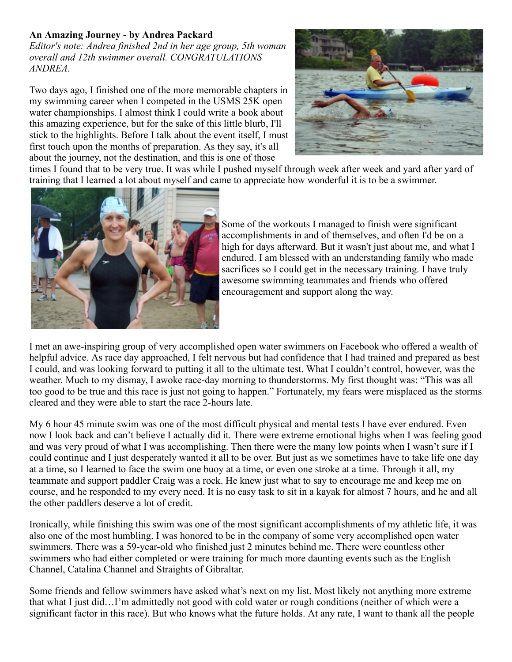## **An Amazing Journey - by Andrea Packard**

*Editor's note: Andrea finished 2nd in her age group, 5th woman overall and 12th swimmer overall. CONGRATULATIONS ANDREA.*

Two days ago, I finished one of the more memorable chapters in my swimming career when I competed in the USMS 25K open water championships. I almost think I could write a book about this amazing experience, but for the sake of this little blurb, I'll stick to the highlights. Before I talk about the event itself, I must first touch upon the months of preparation. As they say, it's all about the journey, not the destination, and this is one of those



times I found that to be very true. It was while I pushed myself through week after week and yard after yard of training that I learned a lot about myself and came to appreciate how wonderful it is to be a swimmer.



Some of the workouts I managed to finish were significant accomplishments in and of themselves, and often I'd be on a high for days afterward. But it wasn't just about me, and what I endured. I am blessed with an understanding family who made sacrifices so I could get in the necessary training. I have truly awesome swimming teammates and friends who offered encouragement and support along the way.

I met an awe-inspiring group of very accomplished open water swimmers on Facebook who offered a wealth of helpful advice. As race day approached, I felt nervous but had confidence that I had trained and prepared as best I could, and was looking forward to putting it all to the ultimate test. What I couldn't control, however, was the weather. Much to my dismay, I awoke race-day morning to thunderstorms. My first thought was: "This was all too good to be true and this race is just not going to happen." Fortunately, my fears were misplaced as the storms cleared and they were able to start the race 2-hours late.

My 6 hour 45 minute swim was one of the most difficult physical and mental tests I have ever endured. Even now I look back and can't believe I actually did it. There were extreme emotional highs when I was feeling good and was very proud of what I was accomplishing. Then there were the many low points when I wasn't sure if I could continue and I just desperately wanted it all to be over. But just as we sometimes have to take life one day at a time, so I learned to face the swim one buoy at a time, or even one stroke at a time. Through it all, my teammate and support paddler Craig was a rock. He knew just what to say to encourage me and keep me on course, and he responded to my every need. It is no easy task to sit in a kayak for almost 7 hours, and he and all the other paddlers deserve a lot of credit.

Ironically, while finishing this swim was one of the most significant accomplishments of my athletic life, it was also one of the most humbling. I was honored to be in the company of some very accomplished open water swimmers. There was a 59-year-old who finished just 2 minutes behind me. There were countless other swimmers who had either completed or were training for much more daunting events such as the English Channel, Catalina Channel and Straights of Gibraltar.

Some friends and fellow swimmers have asked what's next on my list. Most likely not anything more extreme that what I just did…I'm admittedly not good with cold water or rough conditions (neither of which were a significant factor in this race). But who knows what the future holds. At any rate, I want to thank all the people